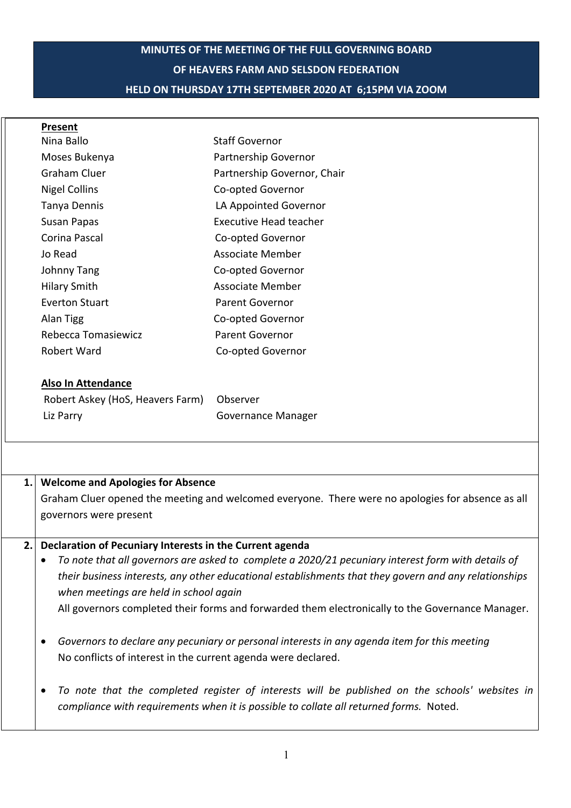# **MINUTES OF THE MEETING OF THE FULL GOVERNING BOARD OF HEAVERS FARM AND SELSDON FEDERATION HELD ON THURSDAY 17TH SEPTEMBER 2020 AT 6;15PM VIA ZOOM**

| Present               |                             |
|-----------------------|-----------------------------|
| Nina Ballo            | <b>Staff Governor</b>       |
| Moses Bukenya         | Partnership Governor        |
| Graham Cluer          | Partnership Governor, Chair |
| Nigel Collins         | Co-opted Governor           |
| Tanya Dennis          | LA Appointed Governor       |
| Susan Papas           | Executive Head teacher      |
| Corina Pascal         | Co-opted Governor           |
| Jo Read               | Associate Member            |
| <b>Johnny Tang</b>    | Co-opted Governor           |
| <b>Hilary Smith</b>   | Associate Member            |
| <b>Everton Stuart</b> | Parent Governor             |
| Alan Tigg             | Co-opted Governor           |
| Rebecca Tomasiewicz   | Parent Governor             |
| Robert Ward           | Co-opted Governor           |
|                       |                             |

### **Also In Attendance**

| Robert Askey (HoS, Heavers Farm) Observer |                           |
|-------------------------------------------|---------------------------|
| Liz Parry                                 | <b>Governance Manager</b> |

| 1. Welcome and Apologies for Absence                                                                                |
|---------------------------------------------------------------------------------------------------------------------|
| Graham Cluer opened the meeting and welcomed everyone. There were no apologies for absence as all                   |
| governors were present                                                                                              |
|                                                                                                                     |
| 2. Declaration of Pecuniary Interests in the Current agenda                                                         |
| re a state that all secondore are considered to appellence of the CODO (24 secondicate) integrate in the details of |

- *To note that all governors are asked to complete a 2020/21 pecuniary interest form with details of their business interests, any other educational establishments that they govern and any relationships when meetings are held in school again* All governors completed their forms and forwarded them electronically to the Governance Manager.
- *Governors to declare any pecuniary or personal interests in any agenda item for this meeting* No conflicts of interest in the current agenda were declared.
- *To note that the completed register of interests will be published on the schools' websites in compliance with requirements when it is possible to collate all returned forms.* Noted.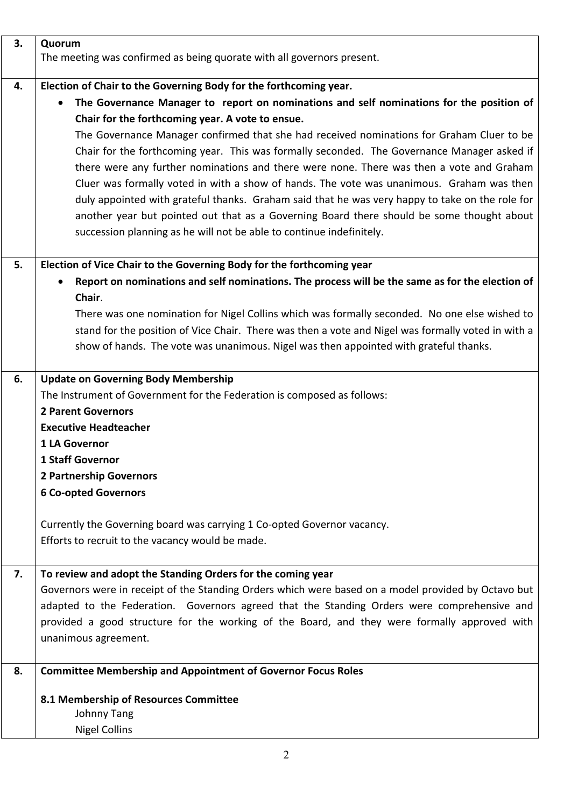| 3. | Quorum                                                                                              |  |
|----|-----------------------------------------------------------------------------------------------------|--|
|    | The meeting was confirmed as being quorate with all governors present.                              |  |
| 4. | Election of Chair to the Governing Body for the forthcoming year.                                   |  |
|    | The Governance Manager to report on nominations and self nominations for the position of            |  |
|    | Chair for the forthcoming year. A vote to ensue.                                                    |  |
|    | The Governance Manager confirmed that she had received nominations for Graham Cluer to be           |  |
|    | Chair for the forthcoming year. This was formally seconded. The Governance Manager asked if         |  |
|    | there were any further nominations and there were none. There was then a vote and Graham            |  |
|    | Cluer was formally voted in with a show of hands. The vote was unanimous. Graham was then           |  |
|    | duly appointed with grateful thanks. Graham said that he was very happy to take on the role for     |  |
|    | another year but pointed out that as a Governing Board there should be some thought about           |  |
|    | succession planning as he will not be able to continue indefinitely.                                |  |
| 5. | Election of Vice Chair to the Governing Body for the forthcoming year                               |  |
|    | Report on nominations and self nominations. The process will be the same as for the election of     |  |
|    | Chair.                                                                                              |  |
|    | There was one nomination for Nigel Collins which was formally seconded. No one else wished to       |  |
|    | stand for the position of Vice Chair. There was then a vote and Nigel was formally voted in with a  |  |
|    | show of hands. The vote was unanimous. Nigel was then appointed with grateful thanks.               |  |
| 6. | <b>Update on Governing Body Membership</b>                                                          |  |
|    | The Instrument of Government for the Federation is composed as follows:                             |  |
|    | <b>2 Parent Governors</b>                                                                           |  |
|    | <b>Executive Headteacher</b>                                                                        |  |
|    | 1 LA Governor                                                                                       |  |
|    | 1 Staff Governor                                                                                    |  |
|    | <b>2 Partnership Governors</b>                                                                      |  |
|    | <b>6 Co-opted Governors</b>                                                                         |  |
|    | Currently the Governing board was carrying 1 Co-opted Governor vacancy.                             |  |
|    | Efforts to recruit to the vacancy would be made.                                                    |  |
| 7. | To review and adopt the Standing Orders for the coming year                                         |  |
|    | Governors were in receipt of the Standing Orders which were based on a model provided by Octavo but |  |
|    | adapted to the Federation. Governors agreed that the Standing Orders were comprehensive and         |  |
|    | provided a good structure for the working of the Board, and they were formally approved with        |  |
|    | unanimous agreement.                                                                                |  |
| 8. | <b>Committee Membership and Appointment of Governor Focus Roles</b>                                 |  |
|    | 8.1 Membership of Resources Committee                                                               |  |
|    | <b>Johnny Tang</b>                                                                                  |  |
|    | <b>Nigel Collins</b>                                                                                |  |
|    |                                                                                                     |  |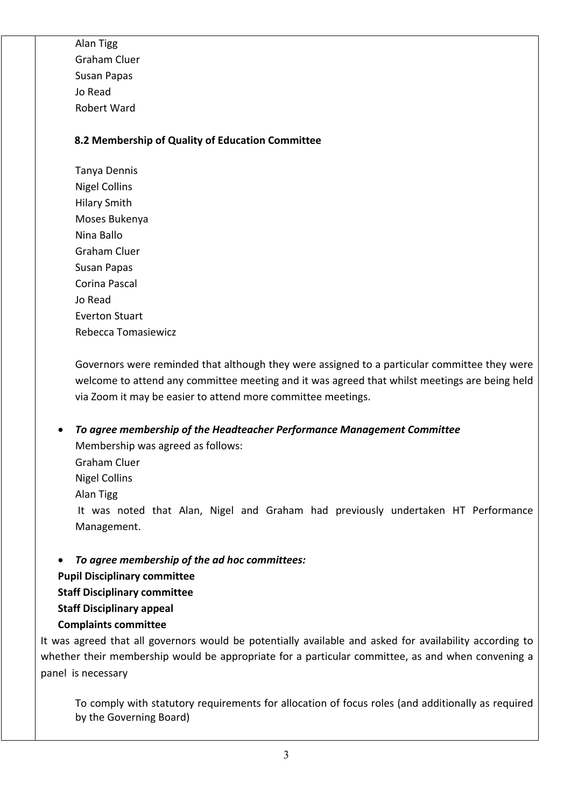Alan Tigg Graham Cluer Susan Papas Jo Read Robert Ward

## **8.2 Membership of Quality of Education Committee**

Tanya Dennis Nigel Collins Hilary Smith Moses Bukenya Nina Ballo Graham Cluer Susan Papas Corina Pascal Jo Read Everton Stuart Rebecca Tomasiewicz

Governors were reminded that although they were assigned to a particular committee they were welcome to attend any committee meeting and it was agreed that whilst meetings are being held via Zoom it may be easier to attend more committee meetings.

• *To agree membership of the Headteacher Performance Management Committee*

Membership was agreed as follows: Graham Cluer

Nigel Collins

Alan Tigg

It was noted that Alan, Nigel and Graham had previously undertaken HT Performance Management.

• *To agree membership of the ad hoc committees:*

**Pupil Disciplinary committee Staff Disciplinary committee**

**Staff Disciplinary appeal**

**Complaints committee**

It was agreed that all governors would be potentially available and asked for availability according to whether their membership would be appropriate for a particular committee, as and when convening a panel is necessary

To comply with statutory requirements for allocation of focus roles (and additionally as required by the Governing Board)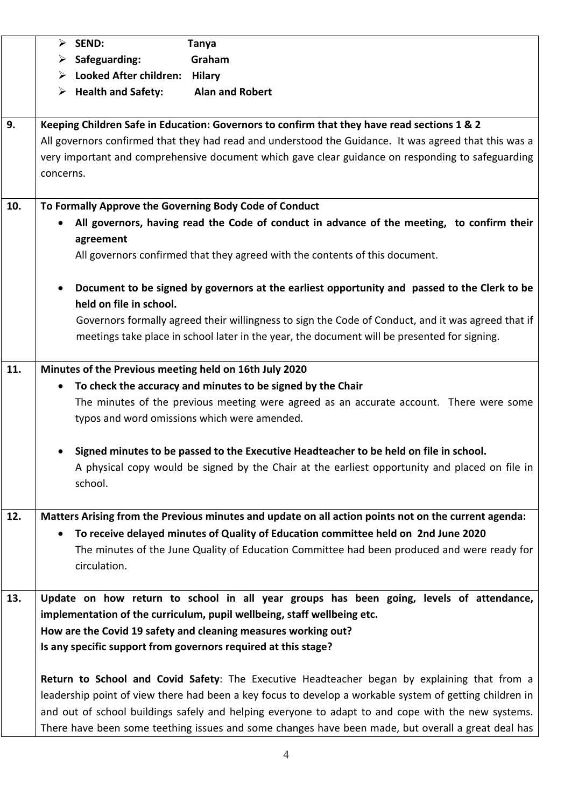|     | $\triangleright$ SEND:                                                                                                                                                                                                                                                                                                 |                                     | <b>Tanya</b>                                                                                                                                                                                       |
|-----|------------------------------------------------------------------------------------------------------------------------------------------------------------------------------------------------------------------------------------------------------------------------------------------------------------------------|-------------------------------------|----------------------------------------------------------------------------------------------------------------------------------------------------------------------------------------------------|
|     | ➤                                                                                                                                                                                                                                                                                                                      | Safeguarding:                       | Graham                                                                                                                                                                                             |
|     |                                                                                                                                                                                                                                                                                                                        | > Looked After children:            | <b>Hilary</b>                                                                                                                                                                                      |
|     |                                                                                                                                                                                                                                                                                                                        | $\triangleright$ Health and Safety: | <b>Alan and Robert</b>                                                                                                                                                                             |
|     |                                                                                                                                                                                                                                                                                                                        |                                     |                                                                                                                                                                                                    |
| 9.  | Keeping Children Safe in Education: Governors to confirm that they have read sections 1 & 2<br>All governors confirmed that they had read and understood the Guidance. It was agreed that this was a<br>very important and comprehensive document which gave clear guidance on responding to safeguarding<br>concerns. |                                     |                                                                                                                                                                                                    |
| 10. |                                                                                                                                                                                                                                                                                                                        |                                     | To Formally Approve the Governing Body Code of Conduct                                                                                                                                             |
|     |                                                                                                                                                                                                                                                                                                                        | agreement                           | All governors, having read the Code of conduct in advance of the meeting, to confirm their                                                                                                         |
|     |                                                                                                                                                                                                                                                                                                                        |                                     | All governors confirmed that they agreed with the contents of this document.                                                                                                                       |
|     |                                                                                                                                                                                                                                                                                                                        | held on file in school.             | Document to be signed by governors at the earliest opportunity and passed to the Clerk to be                                                                                                       |
|     |                                                                                                                                                                                                                                                                                                                        |                                     | Governors formally agreed their willingness to sign the Code of Conduct, and it was agreed that if<br>meetings take place in school later in the year, the document will be presented for signing. |
| 11. |                                                                                                                                                                                                                                                                                                                        |                                     | Minutes of the Previous meeting held on 16th July 2020                                                                                                                                             |
|     |                                                                                                                                                                                                                                                                                                                        |                                     | To check the accuracy and minutes to be signed by the Chair                                                                                                                                        |
|     |                                                                                                                                                                                                                                                                                                                        |                                     | The minutes of the previous meeting were agreed as an accurate account. There were some                                                                                                            |
|     |                                                                                                                                                                                                                                                                                                                        |                                     | typos and word omissions which were amended.                                                                                                                                                       |
|     |                                                                                                                                                                                                                                                                                                                        |                                     |                                                                                                                                                                                                    |
|     |                                                                                                                                                                                                                                                                                                                        |                                     | Signed minutes to be passed to the Executive Headteacher to be held on file in school.                                                                                                             |
|     | school.                                                                                                                                                                                                                                                                                                                |                                     | A physical copy would be signed by the Chair at the earliest opportunity and placed on file in                                                                                                     |
| 12. |                                                                                                                                                                                                                                                                                                                        |                                     | Matters Arising from the Previous minutes and update on all action points not on the current agenda:                                                                                               |
|     |                                                                                                                                                                                                                                                                                                                        |                                     | To receive delayed minutes of Quality of Education committee held on 2nd June 2020                                                                                                                 |
|     |                                                                                                                                                                                                                                                                                                                        |                                     | The minutes of the June Quality of Education Committee had been produced and were ready for                                                                                                        |
|     |                                                                                                                                                                                                                                                                                                                        | circulation.                        |                                                                                                                                                                                                    |
|     |                                                                                                                                                                                                                                                                                                                        |                                     |                                                                                                                                                                                                    |
| 13. |                                                                                                                                                                                                                                                                                                                        |                                     | Update on how return to school in all year groups has been going, levels of attendance,                                                                                                            |
|     |                                                                                                                                                                                                                                                                                                                        |                                     | implementation of the curriculum, pupil wellbeing, staff wellbeing etc.                                                                                                                            |
|     | How are the Covid 19 safety and cleaning measures working out?                                                                                                                                                                                                                                                         |                                     |                                                                                                                                                                                                    |
|     |                                                                                                                                                                                                                                                                                                                        |                                     | Is any specific support from governors required at this stage?                                                                                                                                     |
|     |                                                                                                                                                                                                                                                                                                                        |                                     |                                                                                                                                                                                                    |
|     |                                                                                                                                                                                                                                                                                                                        |                                     | Return to School and Covid Safety: The Executive Headteacher began by explaining that from a                                                                                                       |
|     |                                                                                                                                                                                                                                                                                                                        |                                     | leadership point of view there had been a key focus to develop a workable system of getting children in                                                                                            |
|     |                                                                                                                                                                                                                                                                                                                        |                                     | and out of school buildings safely and helping everyone to adapt to and cope with the new systems.                                                                                                 |
|     |                                                                                                                                                                                                                                                                                                                        |                                     | There have been some teething issues and some changes have been made, but overall a great deal has                                                                                                 |
|     |                                                                                                                                                                                                                                                                                                                        |                                     |                                                                                                                                                                                                    |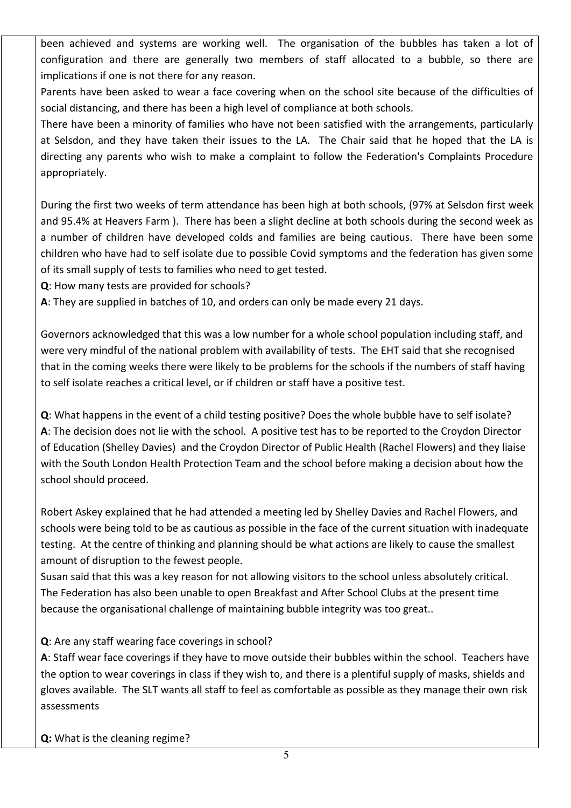been achieved and systems are working well. The organisation of the bubbles has taken a lot of configuration and there are generally two members of staff allocated to a bubble, so there are implications if one is not there for any reason.

Parents have been asked to wear a face covering when on the school site because of the difficulties of social distancing, and there has been a high level of compliance at both schools.

There have been a minority of families who have not been satisfied with the arrangements, particularly at Selsdon, and they have taken their issues to the LA. The Chair said that he hoped that the LA is directing any parents who wish to make a complaint to follow the Federation's Complaints Procedure appropriately.

During the first two weeks of term attendance has been high at both schools, (97% at Selsdon first week and 95.4% at Heavers Farm ). There has been a slight decline at both schools during the second week as a number of children have developed colds and families are being cautious. There have been some children who have had to self isolate due to possible Covid symptoms and the federation has given some of its small supply of tests to families who need to get tested.

**Q**: How many tests are provided for schools?

**A**: They are supplied in batches of 10, and orders can only be made every 21 days.

Governors acknowledged that this was a low number for a whole school population including staff, and were very mindful of the national problem with availability of tests. The EHT said that she recognised that in the coming weeks there were likely to be problems for the schools if the numbers of staff having to self isolate reaches a critical level, or if children or staff have a positive test.

**Q**: What happens in the event of a child testing positive? Does the whole bubble have to self isolate? **A**: The decision does not lie with the school. A positive test has to be reported to the Croydon Director of Education (Shelley Davies) and the Croydon Director of Public Health (Rachel Flowers) and they liaise with the South London Health Protection Team and the school before making a decision about how the school should proceed.

Robert Askey explained that he had attended a meeting led by Shelley Davies and Rachel Flowers, and schools were being told to be as cautious as possible in the face of the current situation with inadequate testing. At the centre of thinking and planning should be what actions are likely to cause the smallest amount of disruption to the fewest people.

Susan said that this was a key reason for not allowing visitors to the school unless absolutely critical. The Federation has also been unable to open Breakfast and After School Clubs at the present time because the organisational challenge of maintaining bubble integrity was too great..

**Q**: Are any staff wearing face coverings in school?

**A**: Staff wear face coverings if they have to move outside their bubbles within the school. Teachers have the option to wear coverings in class if they wish to, and there is a plentiful supply of masks, shields and gloves available. The SLT wants all staff to feel as comfortable as possible as they manage their own risk assessments

**Q:** What is the cleaning regime?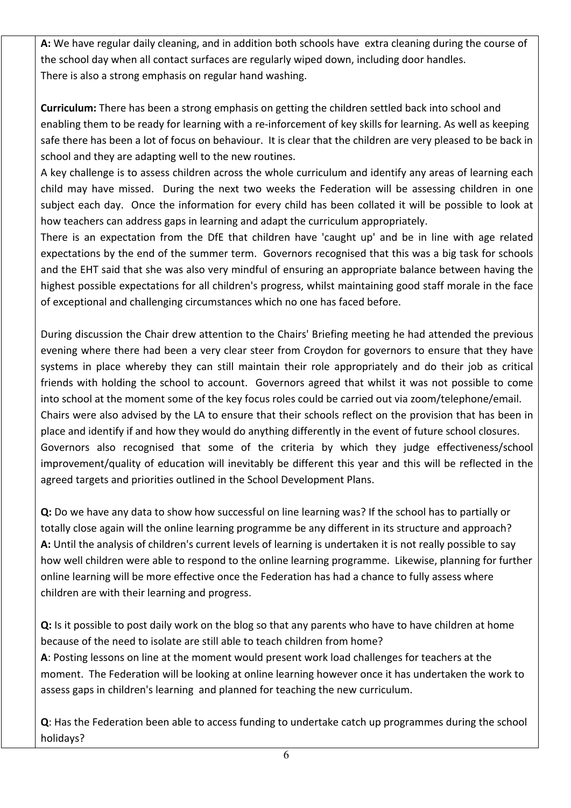**A:** We have regular daily cleaning, and in addition both schools have extra cleaning during the course of the school day when all contact surfaces are regularly wiped down, including door handles. There is also a strong emphasis on regular hand washing.

**Curriculum:** There has been a strong emphasis on getting the children settled back into school and enabling them to be ready for learning with a re-inforcement of key skills for learning. As well as keeping safe there has been a lot of focus on behaviour. It is clear that the children are very pleased to be back in school and they are adapting well to the new routines.

A key challenge is to assess children across the whole curriculum and identify any areas of learning each child may have missed. During the next two weeks the Federation will be assessing children in one subject each day. Once the information for every child has been collated it will be possible to look at how teachers can address gaps in learning and adapt the curriculum appropriately.

There is an expectation from the DfE that children have 'caught up' and be in line with age related expectations by the end of the summer term. Governors recognised that this was a big task for schools and the EHT said that she was also very mindful of ensuring an appropriate balance between having the highest possible expectations for all children's progress, whilst maintaining good staff morale in the face of exceptional and challenging circumstances which no one has faced before.

During discussion the Chair drew attention to the Chairs' Briefing meeting he had attended the previous evening where there had been a very clear steer from Croydon for governors to ensure that they have systems in place whereby they can still maintain their role appropriately and do their job as critical friends with holding the school to account. Governors agreed that whilst it was not possible to come into school at the moment some of the key focus roles could be carried out via zoom/telephone/email. Chairs were also advised by the LA to ensure that their schools reflect on the provision that has been in place and identify if and how they would do anything differently in the event of future school closures. Governors also recognised that some of the criteria by which they judge effectiveness/school improvement/quality of education will inevitably be different this year and this will be reflected in the agreed targets and priorities outlined in the School Development Plans.

**Q:** Do we have any data to show how successful on line learning was? If the school has to partially or totally close again will the online learning programme be any different in its structure and approach? **A:** Until the analysis of children's current levels of learning is undertaken it is not really possible to say how well children were able to respond to the online learning programme. Likewise, planning for further online learning will be more effective once the Federation has had a chance to fully assess where children are with their learning and progress.

**Q:** Is it possible to post daily work on the blog so that any parents who have to have children at home because of the need to isolate are still able to teach children from home? **A**: Posting lessons on line at the moment would present work load challenges for teachers at the moment. The Federation will be looking at online learning however once it has undertaken the work to assess gaps in children's learning and planned for teaching the new curriculum.

**Q**: Has the Federation been able to access funding to undertake catch up programmes during the school holidays?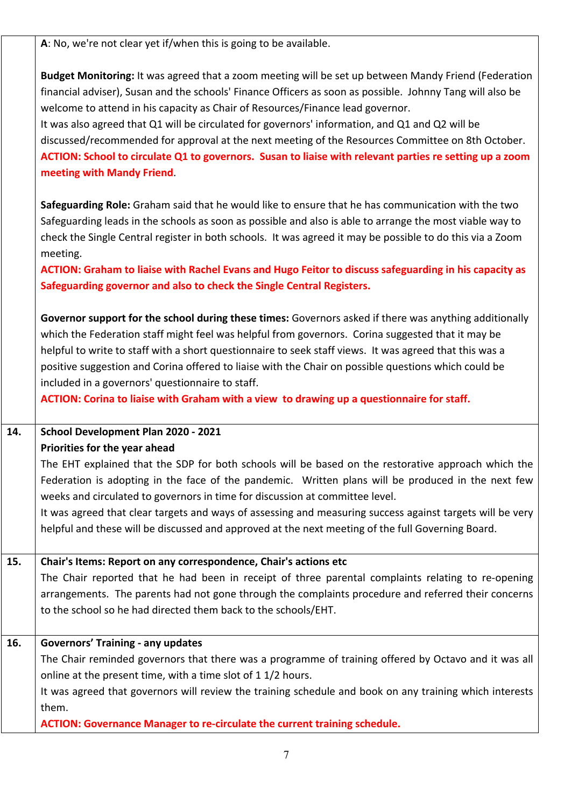**A**: No, we're not clear yet if/when this is going to be available.

**Budget Monitoring:** It was agreed that a zoom meeting will be set up between Mandy Friend (Federation financial adviser), Susan and the schools' Finance Officers as soon as possible. Johnny Tang will also be welcome to attend in his capacity as Chair of Resources/Finance lead governor.

It was also agreed that Q1 will be circulated for governors' information, and Q1 and Q2 will be discussed/recommended for approval at the next meeting of the Resources Committee on 8th October. **ACTION: School to circulate Q1 to governors. Susan to liaise with relevant parties re setting up a zoom meeting with Mandy Friend**.

**Safeguarding Role:** Graham said that he would like to ensure that he has communication with the two Safeguarding leads in the schools as soon as possible and also is able to arrange the most viable way to check the Single Central register in both schools. It was agreed it may be possible to do this via a Zoom meeting.

**ACTION: Graham to liaise with Rachel Evans and Hugo Feitor to discuss safeguarding in his capacity as Safeguarding governor and also to check the Single Central Registers.**

**Governor support for the school during these times:** Governors asked if there was anything additionally which the Federation staff might feel was helpful from governors. Corina suggested that it may be helpful to write to staff with a short questionnaire to seek staff views. It was agreed that this was a positive suggestion and Corina offered to liaise with the Chair on possible questions which could be included in a governors' questionnaire to staff.

**ACTION: Corina to liaise with Graham with a view to drawing up a questionnaire for staff.**

# **14. School Development Plan 2020 - 2021**

**Priorities for the year ahead**

The EHT explained that the SDP for both schools will be based on the restorative approach which the Federation is adopting in the face of the pandemic. Written plans will be produced in the next few weeks and circulated to governors in time for discussion at committee level.

It was agreed that clear targets and ways of assessing and measuring success against targets will be very helpful and these will be discussed and approved at the next meeting of the full Governing Board.

### **15. Chair's Items: Report on any correspondence, Chair's actions etc**

The Chair reported that he had been in receipt of three parental complaints relating to re-opening arrangements. The parents had not gone through the complaints procedure and referred their concerns to the school so he had directed them back to the schools/EHT.

#### **16. Governors' Training - any updates**

The Chair reminded governors that there was a programme of training offered by Octavo and it was all online at the present time, with a time slot of 1 1/2 hours.

It was agreed that governors will review the training schedule and book on any training which interests them.

**ACTION: Governance Manager to re-circulate the current training schedule.**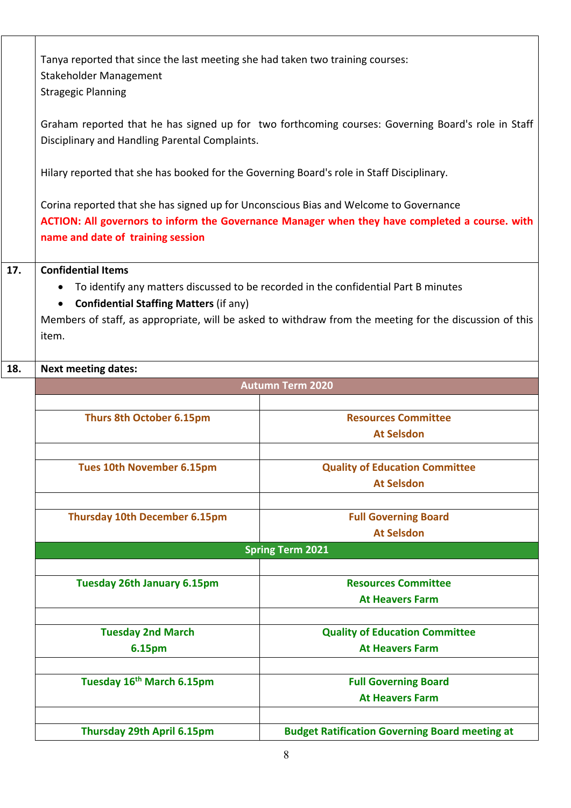|     | Tanya reported that since the last meeting she had taken two training courses:<br><b>Stakeholder Management</b><br><b>Stragegic Planning</b><br>Graham reported that he has signed up for two forthcoming courses: Governing Board's role in Staff<br>Disciplinary and Handling Parental Complaints.            |                                                                                                |  |
|-----|-----------------------------------------------------------------------------------------------------------------------------------------------------------------------------------------------------------------------------------------------------------------------------------------------------------------|------------------------------------------------------------------------------------------------|--|
|     |                                                                                                                                                                                                                                                                                                                 |                                                                                                |  |
|     | Hilary reported that she has booked for the Governing Board's role in Staff Disciplinary.                                                                                                                                                                                                                       |                                                                                                |  |
|     | Corina reported that she has signed up for Unconscious Bias and Welcome to Governance<br>name and date of training session                                                                                                                                                                                      | ACTION: All governors to inform the Governance Manager when they have completed a course. with |  |
| 17. | <b>Confidential Items</b><br>To identify any matters discussed to be recorded in the confidential Part B minutes<br>$\bullet$<br><b>Confidential Staffing Matters (if any)</b><br>$\bullet$<br>Members of staff, as appropriate, will be asked to withdraw from the meeting for the discussion of this<br>item. |                                                                                                |  |
| 18. | <b>Next meeting dates:</b>                                                                                                                                                                                                                                                                                      |                                                                                                |  |
|     | <b>Autumn Term 2020</b>                                                                                                                                                                                                                                                                                         |                                                                                                |  |
|     |                                                                                                                                                                                                                                                                                                                 |                                                                                                |  |
|     | <b>Thurs 8th October 6.15pm</b>                                                                                                                                                                                                                                                                                 | <b>Resources Committee</b>                                                                     |  |
|     |                                                                                                                                                                                                                                                                                                                 | <b>At Selsdon</b>                                                                              |  |
|     |                                                                                                                                                                                                                                                                                                                 |                                                                                                |  |
|     | <b>Tues 10th November 6.15pm</b>                                                                                                                                                                                                                                                                                | <b>Quality of Education Committee</b>                                                          |  |
|     |                                                                                                                                                                                                                                                                                                                 | <b>At Selsdon</b>                                                                              |  |
|     |                                                                                                                                                                                                                                                                                                                 |                                                                                                |  |
|     | <b>Thursday 10th December 6.15pm</b>                                                                                                                                                                                                                                                                            | <b>Full Governing Board</b>                                                                    |  |
|     |                                                                                                                                                                                                                                                                                                                 | <b>At Selsdon</b>                                                                              |  |
|     |                                                                                                                                                                                                                                                                                                                 | <b>Spring Term 2021</b>                                                                        |  |
|     |                                                                                                                                                                                                                                                                                                                 |                                                                                                |  |
|     | <b>Tuesday 26th January 6.15pm</b>                                                                                                                                                                                                                                                                              | <b>Resources Committee</b>                                                                     |  |
|     |                                                                                                                                                                                                                                                                                                                 | <b>At Heavers Farm</b>                                                                         |  |
|     |                                                                                                                                                                                                                                                                                                                 |                                                                                                |  |
|     | <b>Tuesday 2nd March</b>                                                                                                                                                                                                                                                                                        | <b>Quality of Education Committee</b>                                                          |  |
|     | 6.15pm                                                                                                                                                                                                                                                                                                          | <b>At Heavers Farm</b>                                                                         |  |
|     |                                                                                                                                                                                                                                                                                                                 |                                                                                                |  |
|     | Tuesday 16 <sup>th</sup> March 6.15pm                                                                                                                                                                                                                                                                           | <b>Full Governing Board</b>                                                                    |  |
|     |                                                                                                                                                                                                                                                                                                                 | <b>At Heavers Farm</b>                                                                         |  |
|     |                                                                                                                                                                                                                                                                                                                 |                                                                                                |  |
|     | Thursday 29th April 6.15pm                                                                                                                                                                                                                                                                                      | <b>Budget Ratification Governing Board meeting at</b>                                          |  |